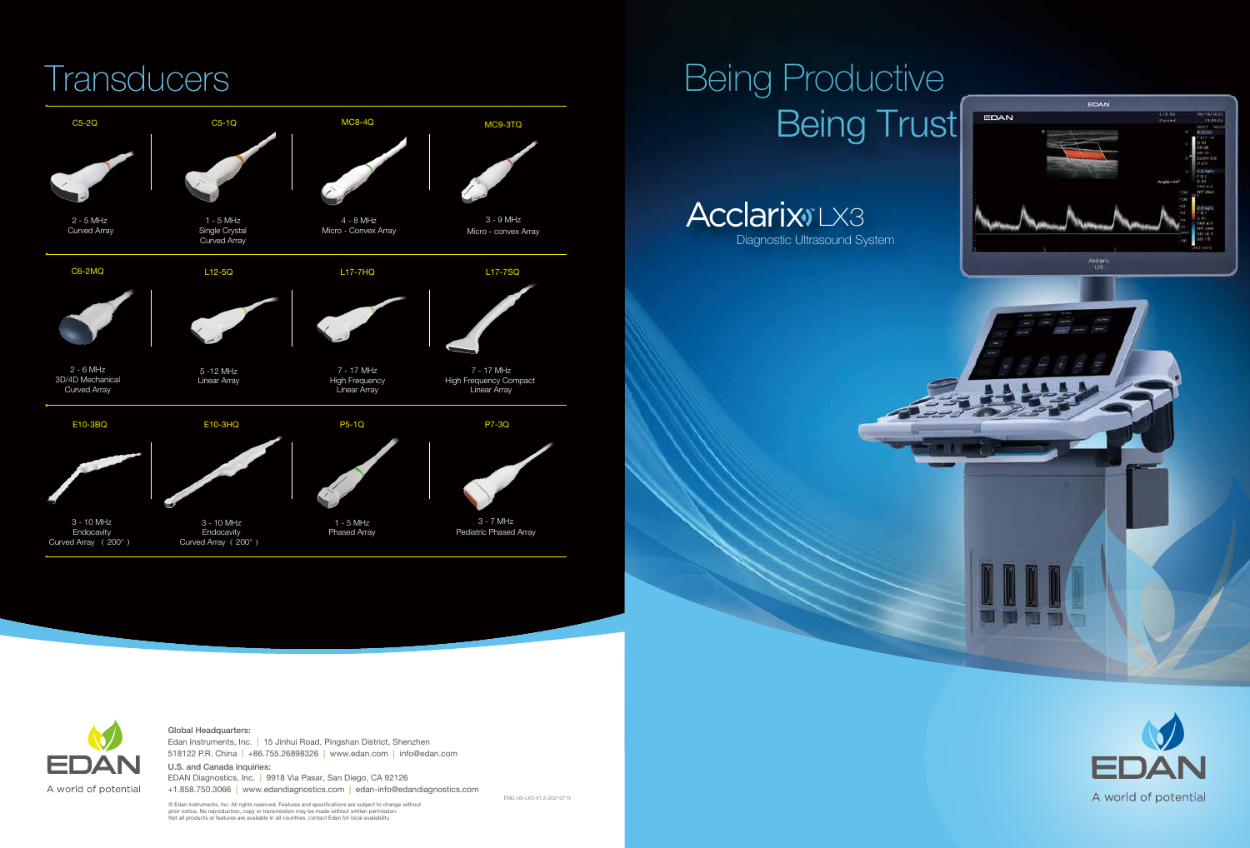© Edan Instruments, Inc. All rights reserved. Features and specifications are subject to change without prior notice. No reproduction, copy or transmission may be made without written permission. Not all products or features are available in all countries, contact Edan for local availability.

### Global Headquarters:

518122 P.R. China | +86.755.26898326 | www.edan.com | info@edan.com Edan Instruments, Inc. | 15 Jinhui Road, Pingshan District, Shenzhen U.S. and Canada inquiries:

**Acclarix**<sup>ILX3</sup> Diagnostic Ultrasound System



EDAN Diagnostics, Inc. | 9918 Via Pasar, San Diego, CA 92126 +1.858.750.3066 | www.edandiagnostics.com | edan-info@edandiagnostics.com



ENG-US-LX3-V1.2-20210715





### Being Productive Being Trust